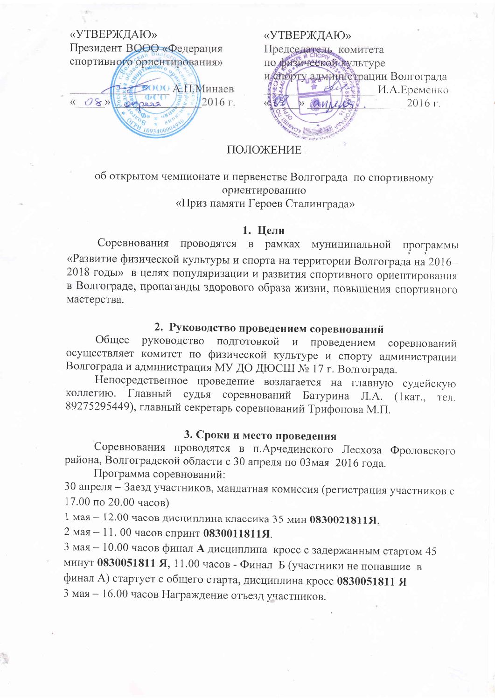# «УТВЕРЖДАЮ» Президент ВООО «Федерация спортивного ориентирования»

**2000 А.П.Минаев** 2016 г.  $\langle \langle \circ \mathcal{O} \rangle \rangle$ 

«УТВЕРЖДАЮ» Председатель комитета по физической культуре и слорту администрации Волгограда И.А.Еременко 2016 г.

## ПОЛОЖЕНИЕ

об открытом чемпионате и первенстве Волгограда по спортивному ориентированию «Приз памяти Героев Сталинграда»

## 1. Цели

проводятся в рамках муниципальной Соревнования программы «Развитие физической культуры и спорта на территории Волгограда на 2016-2018 годы» в целях популяризации и развития спортивного ориентирования в Волгограде, пропаганды здорового образа жизни, повышения спортивного мастерства.

# 2. Руководство проведением соревнований

Общее руководство подготовкой и проведением соревнований осуществляет комитет по физической культуре и спорту администрации Волгограда и администрация МУ ДО ДЮСШ № 17 г. Волгограда.

Непосредственное проведение возлагается на главную судейскую судья соревнований Батурина Л.А. (1кат., тел. коллегию. Главный 89275295449), главный секретарь соревнований Трифонова М.П.

## 3. Сроки и место проведения

Соревнования проводятся в п. Арчединского Лесхоза Фроловского района, Волгоградской области с 30 апреля по 03мая 2016 года.

Программа соревнований:

30 апреля - Заезд участников, мандатная комиссия (регистрация участников с 17.00 по 20.00 часов)

1 мая - 12.00 часов дисциплина классика 35 мин 0830021811Я.

2 мая - 11.00 часов спринт 0830011811Я.

3 мая - 10.00 часов финал А дисциплина кросс с задержанным стартом 45 минут 0830051811 Я, 11.00 часов - Финал Б (участники не попавшие в финал А) стартует с общего старта, дисциплина кросс 0830051811 Я 3 мая - 16.00 часов Награждение отъезд участников.